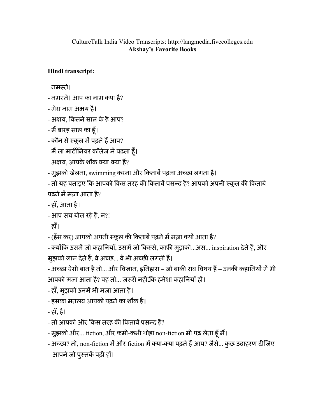## CultureTalk India Video Transcripts: http://langmedia.fivecolleges.edu Akshay's Favorite Books

## Hindi transcript:

- नमःते।

- नमस्ते। आप का नाम क्या है?
- मेरा नाम अय है।
- अक्षय, कितने साल के हैं आप?
- मैं बारह साल का हूँ।
- कौन से स्कूल में पढ़ते हैं आप?
- मैं ला मार्टीनियर कॉलेज में पढ़ता हूँ।
- अक्षय, आपके शौक क्या-क्या हैं?
- मुझको खेलना, swimming करना और किताबें पढ़ना अच्छा लगता है।

- तो यह बताइए कि आपको किस तरह की किताबें पसन्द है? आपको अपनी स्कूल की किताबें पढ़ने में मजा आता है?

- हाँ, आता है।

```
- आप सच बोल रहे हैं, न?!
```
- हाँ।

- (हँस कर) आपको अपनी स्कूल की किताबें पढ़ने में मज़ा क्यों आता है?

- क्योंकि उसमें जो कहानियाँ, उसमें जो किस्से, काफ़ी मुझको...अस... inspiration देते हैं, और मुझको ज्ञान देते हैं, वे अच्छ... वे भी अच्छी लगती हैं।

- अच्छा ऐसी बात है तो... और विज्ञान, इतिहास – जो बाकी सब विषय हैं – उनकी कहानियों में भी आपको मज़ा आता है? वह तो... ज़रूरी नहीΩिक हमेशा कहानियाँ हों।

- हाँ, मुझको उनमें भी मज़ा आता है।

- इसका मतलब आपको पढ़नेका शौक है।

- हाँ, है।
- तो आपको और किस तरह की किताबें पसन्द हैं?
- मुझको और... fiction, और कभी-कभी थोड़ा non-fiction भी पढ़ लेता हूँ मैं।

- अच्छा? तो, non-fiction में और fiction में क्या-क्या पढ़ते हैं आप? जैसे... कुछ उदाहरण दीजिए

– आपने जो पुस्तकें पढ़ी हों।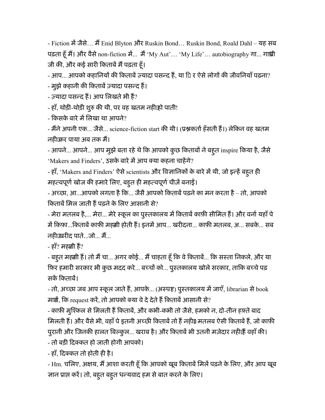- Fiction में जैसे... मैं Enid Blyton और Ruskin Bond... Ruskin Bond, Roald Dahl – यह सब पढ़ता हूँ मैं। और वैसे non-fiction में... मैं 'My Aut'... 'My Life'... autobiography गा... गांधी जी की, और कई सारी किताबें मैं पढ़ता हँ।

- आप... आपको कहानियों की किताबें ज़्यादा पसन्द हैं, या 1ि र ऐसे लोगों की जीवनियाँ पढ़ना?

- मुझे कहानी की किताबें ज़्यादा पसन्द हैं।

- ज़्यादा पसन्द हैं। आप लिखते भी हैं?

- हाँ, थोड़ी-थोड़ी शुरु की थी, पर वह खतम नहीाहो पाती!

- किसके बारे में लिखा था आपने?

- मैंने अपनी एक... जैसे... science-fiction start की थी। (प्रश्नकर्ता हँसती हैं।) लेकिन वह खतम नहींकर पाया अब तक म।

- आपने... आपने... आप मुझे बता रहे थे कि आपको कुछ किताबों ने बहुत inspire किया है, जैसे 'Makers and Finders', उसके बारे में आप क्या कहना चाहेंगे?

- हाँ, 'Makers and Finders' ऐसे scientists और विज्ञानिकों के बारे में थी, जो इन्हें बहुत ही महत्वपूर्ण खोज की हमारे लिए, बहुत ही महत्वपूर्ण चीज़ें बनाई।

- अच्छा, आ...आपको लगता है कि... जैसै आपको किताबें पढ़ने का मन करता है – तो, आपको किताबें मिल जाती हैं पढ़ने के लिए आसानी से?

- मेरा मतलब है,... मेरा... मेरे स्कूल का पुस्तकालय में किताबें काफ़ी सीमित हैं। और वर्ना यहाँ पे में किफ़ा...किताबें काफ़ी मह़्याी होती हैं। इनमें आप... खरीदना... काफ़ी मतलब, अ... सबके... सब नहींखरीद पाते...जो... म...

- हाँ? महर्खा हैं?

- बहुत मह़्यो हैं। तो मैं चा... अगर कोई... मैं चाहता हूँ कि वे किताबें... कि सस्ता निकले, और या फ़िर हमारी सरकार भी कुछ मदद करे... बच्चों को... पुस्तकालय खोले सरकार, ताकि बच्चे पढ़ सकें किताबें।

- तो, अच्छा जब आप स्कूल जाते हैं, आपके... (अस्पष्ट) पुस्तकालय में जाएँ, librarian से book मार्शे, कि request करें, तो आपको क्या वे दे देते हैं किताबें आसानी से?

- काफ़ी मुश्किल से मिलती हैं किताबें, और कभी-कभी तो जैसे, हमको न, दो-तीन हफ़्ते बाद मिलती हैं। और वैसे भी, वहाँ पे इतनी अच्छी किताबें तो हैं नहीं॥ मतलब ऐसी किताबें हैं, जो काफ़ी पुरानी और जिनकी हालत बिल्कुल... खराब है। और किताबें भी उतनी मज़ेदार नहीं।हैं वहाँ की।

- तो बड़ी िदकत हो जाती होगी आपको।

- हाँ, िदकत तो होती ही है।

- Hm. चलिए, अक्षय, मैं आशा करती हूँ कि आपको खूब किताबें मिलें पढ़ने के लिए, और आप खूब ज्ञान प्राप्त करें। तो, बह्त बह्त धन्यवाद हम से बात करने के लिए।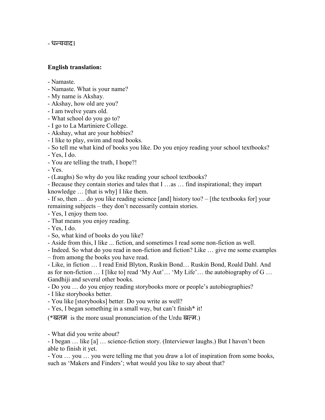- धन्यवाद।

## English translation:

- Namaste.
- Namaste. What is your name?
- My name is Akshay.
- Akshay, how old are you?
- I am twelve years old.
- What school do you go to?
- I go to La Martiniere College.
- Akshay, what are your hobbies?
- I like to play, swim and read books.
- So tell me what kind of books you like. Do you enjoy reading your school textbooks?
- Yes, I do.
- You are telling the truth, I hope?!

- Yes.

- (Laughs) So why do you like reading your school textbooks?

- Because they contain stories and tales that I …as … find inspirational; they impart knowledge … [that is why] I like them.

- If so, then … do you like reading science [and] history too? – [the textbooks for] your remaining subjects – they don't necessarily contain stories.

- Yes, I enjoy them too.

- That means you enjoy reading.

- Yes, I do.

- So, what kind of books do you like?
- Aside from this, I like ... fiction, and sometimes I read some non-fiction as well.
- Indeed. So what do you read in non-fiction and fiction? Like … give me some examples
- from among the books you have read.

- Like, in fiction … I read Enid Blyton, Ruskin Bond… Ruskin Bond, Roald Dahl. And as for non-fiction  $\dots$  I [like to] read 'My Aut' $\dots$  'My Life'... the autobiography of G  $\dots$ Gandhiji and several other books.

- Do you … do you enjoy reading storybooks more or people's autobiographies?

- I like storybooks better.

- You like [storybooks] better. Do you write as well?

- Yes, I began something in a small way, but can't finish\* it!

(\*खतम) is the more usual pronunciation of the Urdu ख़त्म.)

- What did you write about?

- I began … like [a] … science-fiction story. (Interviewer laughs.) But I haven't been able to finish it yet.

- You … you … you were telling me that you draw a lot of inspiration from some books, such as 'Makers and Finders'; what would you like to say about that?